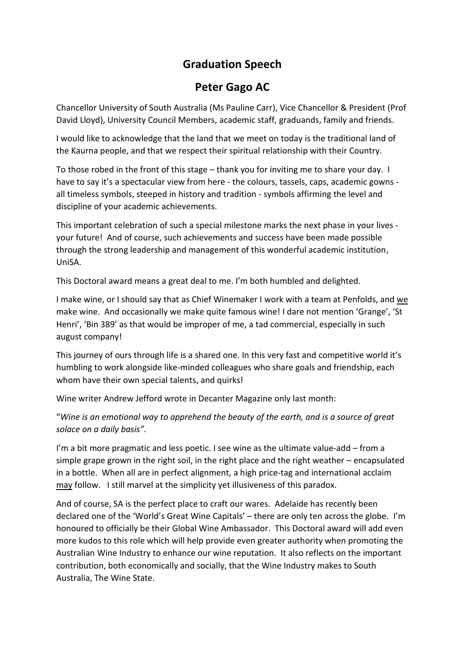## **Graduation Speech**

## **Peter Gago AC**

Chancellor University of South Australia (Ms Pauline Carr), Vice Chancellor & President (Prof David Lloyd), University Council Members, academic staff, graduands, family and friends.

I would like to acknowledge that the land that we meet on today is the traditional land of the Kaurna people, and that we respect their spiritual relationship with their Country.

To those robed in the front of this stage – thank you for inviting me to share your day. I have to say it's a spectacular view from here - the colours, tassels, caps, academic gowns all timeless symbols, steeped in history and tradition - symbols affirming the level and discipline of your academic achievements.

This important celebration of such a special milestone marks the next phase in your lives your future! And of course, such achievements and success have been made possible through the strong leadership and management of this wonderful academic institution, UniSA.

This Doctoral award means a great deal to me. I'm both humbled and delighted.

I make wine, or I should say that as Chief Winemaker I work with a team at Penfolds, and we make wine. And occasionally we make quite famous wine! I dare not mention 'Grange', 'St Henri', 'Bin 389' as that would be improper of me, a tad commercial, especially in such august company!

This journey of ours through life is a shared one. In this very fast and competitive world it's humbling to work alongside like-minded colleagues who share goals and friendship, each whom have their own special talents, and quirks!

Wine writer Andrew Jefford wrote in Decanter Magazine only last month:

"*Wine is an emotional way to apprehend the beauty of the earth, and is a source of great solace on a daily basis".*

I'm a bit more pragmatic and less poetic. I see wine as the ultimate value-add – from a simple grape grown in the right soil, in the right place and the right weather – encapsulated in a bottle. When all are in perfect alignment, a high price-tag and international acclaim may follow. I still marvel at the simplicity yet illusiveness of this paradox.

And of course, SA is the perfect place to craft our wares. Adelaide has recently been declared one of the 'World's Great Wine Capitals' – there are only ten across the globe. I'm honoured to officially be their Global Wine Ambassador. This Doctoral award will add even more kudos to this role which will help provide even greater authority when promoting the Australian Wine Industry to enhance our wine reputation. It also reflects on the important contribution, both economically and socially, that the Wine Industry makes to South Australia, The Wine State.